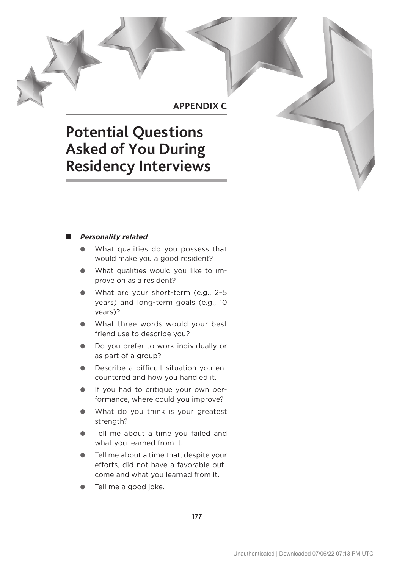# **APPENDIX C**

# **Potential Questions Asked of You During Residency Interviews**

# ■ *Personality related*

- What qualities do you possess that would make you a good resident?
- What qualities would you like to improve on as a resident?
- What are your short-term (e.g., 2-5 years) and long-term goals (e.g., 10 years)?
- What three words would your best friend use to describe you?
- Do you prefer to work individually or as part of a group?
- Describe a difficult situation you encountered and how you handled it.
- If you had to critique your own performance, where could you improve?
- What do you think is your greatest strength?
- Tell me about a time you failed and what you learned from it.
- Tell me about a time that, despite your efforts, did not have a favorable outcome and what you learned from it.
- Tell me a good joke.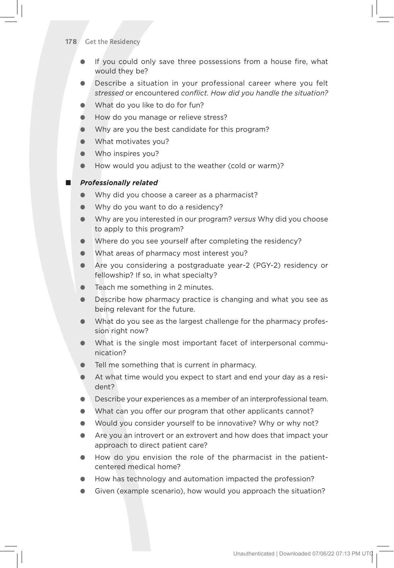#### **178** Get the Residency

- If you could only save three possessions from a house fire, what would they be?
- Describe a situation in your professional career where you felt *stressed* or encountered *conflict. How did you handle the situation?*
- What do you like to do for fun?
- How do you manage or relieve stress?
- Why are you the best candidate for this program?
- What motivates you?
- Who inspires you?
- How would you adjust to the weather (cold or warm)?

### ■ *Professionally related*

- Why did you choose a career as a pharmacist?
- Why do you want to do a residency?
- Why are you interested in our program? *versus* Why did you choose to apply to this program?
- Where do you see yourself after completing the residency?
- What areas of pharmacy most interest you?
- Are you considering a postgraduate year-2 (PGY-2) residency or fellowship? If so, in what specialty?
- Teach me something in 2 minutes.
- Describe how pharmacy practice is changing and what you see as being relevant for the future.
- What do you see as the largest challenge for the pharmacy profession right now?
- What is the single most important facet of interpersonal communication?
- Tell me something that is current in pharmacy.
- At what time would you expect to start and end your day as a resident?
- Describe your experiences as a member of an interprofessional team.
- What can you offer our program that other applicants cannot?
- Would you consider yourself to be innovative? Why or why not?
- Are you an introvert or an extrovert and how does that impact your approach to direct patient care?
- How do you envision the role of the pharmacist in the patientcentered medical home?
- How has technology and automation impacted the profession?
- Given (example scenario), how would you approach the situation?